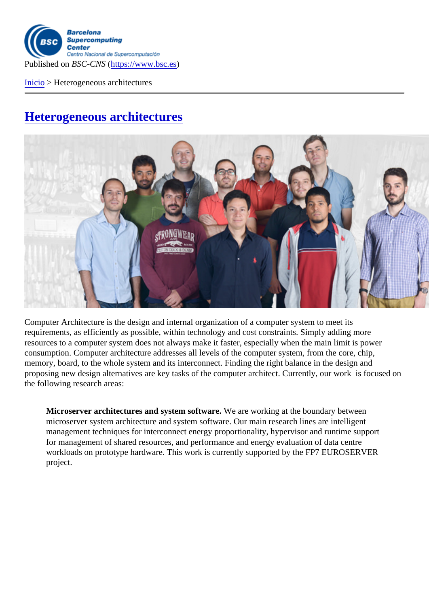Published on BSC-CNShttps://www.bsc.es

Inicio > Heterogeneous architectures

[Het](https://www.bsc.es/es)erogeneous architectures

Computer Architecture is the design and internal organization of a computer system to meet its requirements, as efficiently as possible, within technology and cost constraints. Simply adding more resources to a computer system does not always make it faster, especially when the main limit is power consumption. Computer architecture addresses all levels of the computer system, from the core, chip, memory, board, to the whole system and its interconnect. Finding the right balance in the design and proposing new design alternatives are key tasks of the computer architect. Currently, our work is focused on the following research areas:

Microserver architectures and system software We are working at the boundary between microserver system architecture and system software. Our main research lines are intelligent management techniques for interconnect energy proportionality, hypervisor and runtime support for management of shared resources, and performance and energy evaluation of data centre workloads on prototype hardware. This work is currently supported by the FP7 EUROSERVER project.